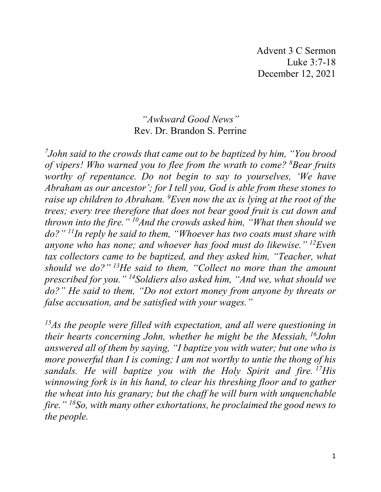Advent 3 C Sermon Luke 3:7-18 December 12, 2021

## *"Awkward Good News"* Rev. Dr. Brandon S. Perrine

*7 John said to the crowds that came out to be baptized by him, "You brood of vipers! Who warned you to flee from the wrath to come? <sup>8</sup> Bear fruits worthy of repentance. Do not begin to say to yourselves, 'We have Abraham as our ancestor'; for I tell you, God is able from these stones to raise up children to Abraham. <sup>9</sup> Even now the ax is lying at the root of the trees; every tree therefore that does not bear good fruit is cut down and thrown into the fire." 10And the crowds asked him, "What then should we do?" 11In reply he said to them, "Whoever has two coats must share with anyone who has none; and whoever has food must do likewise." 12Even tax collectors came to be baptized, and they asked him, "Teacher, what should we do?" 13He said to them, "Collect no more than the amount prescribed for you." 14Soldiers also asked him, "And we, what should we do?" He said to them, "Do not extort money from anyone by threats or false accusation, and be satisfied with your wages."*

*15As the people were filled with expectation, and all were questioning in their hearts concerning John, whether he might be the Messiah, 16John answered all of them by saying, "I baptize you with water; but one who is more powerful than I is coming; I am not worthy to untie the thong of his sandals. He will baptize you with the Holy Spirit and fire. 17His winnowing fork is in his hand, to clear his threshing floor and to gather the wheat into his granary; but the chaff he will burn with unquenchable fire." 18So, with many other exhortations, he proclaimed the good news to the people.*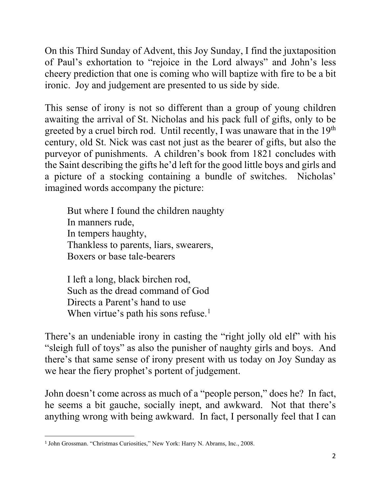On this Third Sunday of Advent, this Joy Sunday, I find the juxtaposition of Paul's exhortation to "rejoice in the Lord always" and John's less cheery prediction that one is coming who will baptize with fire to be a bit ironic. Joy and judgement are presented to us side by side.

This sense of irony is not so different than a group of young children awaiting the arrival of St. Nicholas and his pack full of gifts, only to be greeted by a cruel birch rod. Until recently, I was unaware that in the 19<sup>th</sup> century, old St. Nick was cast not just as the bearer of gifts, but also the purveyor of punishments. A children's book from 1821 concludes with the Saint describing the gifts he'd left for the good little boys and girls and a picture of a stocking containing a bundle of switches. Nicholas' imagined words accompany the picture:

But where I found the children naughty In manners rude, In tempers haughty, Thankless to parents, liars, swearers, Boxers or base tale-bearers

I left a long, black birchen rod, Such as the dread command of God Directs a Parent's hand to use When virtue's path his sons refuse.<sup>[1](#page-1-0)</sup>

There's an undeniable irony in casting the "right jolly old elf" with his "sleigh full of toys" as also the punisher of naughty girls and boys. And there's that same sense of irony present with us today on Joy Sunday as we hear the fiery prophet's portent of judgement.

John doesn't come across as much of a "people person," does he? In fact, he seems a bit gauche, socially inept, and awkward. Not that there's anything wrong with being awkward. In fact, I personally feel that I can

<span id="page-1-0"></span><sup>&</sup>lt;sup>1</sup> John Grossman. "Christmas Curiosities," New York: Harry N. Abrams, Inc., 2008.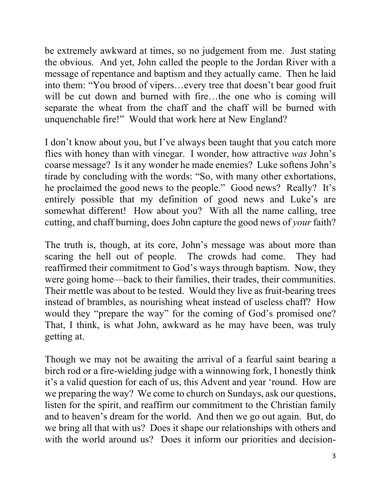be extremely awkward at times, so no judgement from me. Just stating the obvious. And yet, John called the people to the Jordan River with a message of repentance and baptism and they actually came. Then he laid into them: "You brood of vipers…every tree that doesn't bear good fruit will be cut down and burned with fire...the one who is coming will separate the wheat from the chaff and the chaff will be burned with unquenchable fire!" Would that work here at New England?

I don't know about you, but I've always been taught that you catch more flies with honey than with vinegar. I wonder, how attractive *was* John's coarse message? Is it any wonder he made enemies? Luke softens John's tirade by concluding with the words: "So, with many other exhortations, he proclaimed the good news to the people." Good news? Really? It's entirely possible that my definition of good news and Luke's are somewhat different! How about you? With all the name calling, tree cutting, and chaff burning, does John capture the good news of *your* faith?

The truth is, though, at its core, John's message was about more than scaring the hell out of people. The crowds had come. They had reaffirmed their commitment to God's ways through baptism. Now, they were going home—back to their families, their trades, their communities. Their mettle was about to be tested. Would they live as fruit-bearing trees instead of brambles, as nourishing wheat instead of useless chaff? How would they "prepare the way" for the coming of God's promised one? That, I think, is what John, awkward as he may have been, was truly getting at.

Though we may not be awaiting the arrival of a fearful saint bearing a birch rod or a fire-wielding judge with a winnowing fork, I honestly think it's a valid question for each of us, this Advent and year 'round. How are we preparing the way? We come to church on Sundays, ask our questions, listen for the spirit, and reaffirm our commitment to the Christian family and to heaven's dream for the world. And then we go out again. But, do we bring all that with us? Does it shape our relationships with others and with the world around us? Does it inform our priorities and decision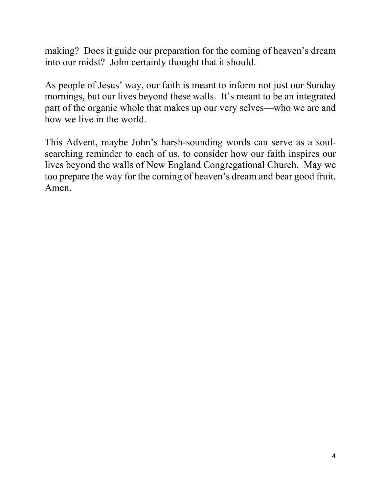making? Does it guide our preparation for the coming of heaven's dream into our midst? John certainly thought that it should.

As people of Jesus' way, our faith is meant to inform not just our Sunday mornings, but our lives beyond these walls. It's meant to be an integrated part of the organic whole that makes up our very selves—who we are and how we live in the world.

This Advent, maybe John's harsh-sounding words can serve as a soulsearching reminder to each of us, to consider how our faith inspires our lives beyond the walls of New England Congregational Church. May we too prepare the way for the coming of heaven's dream and bear good fruit. Amen.